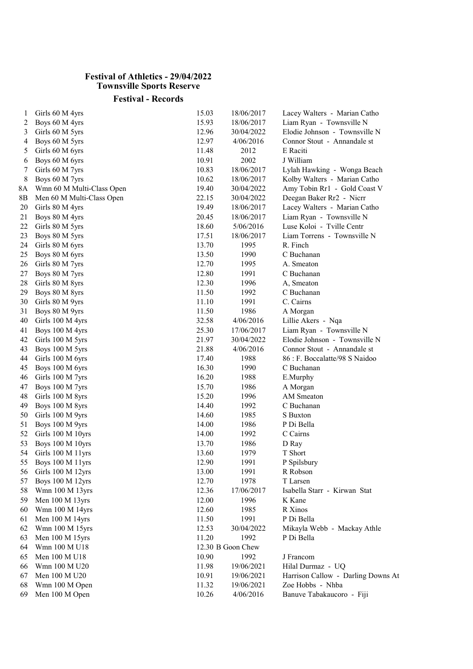## Festival of Athletics - 29/04/2022 Townsville Sports Reserve

## Festival - Records

| 1  | Girls 60 M 4yrs           | 15.03 | 18/06/2017        | Lacey Walters - Marian Catho       |
|----|---------------------------|-------|-------------------|------------------------------------|
| 2  | Boys 60 M 4yrs            | 15.93 | 18/06/2017        | Liam Ryan - Townsville N           |
| 3  | Girls 60 M 5yrs           | 12.96 | 30/04/2022        | Elodie Johnson - Townsville N      |
| 4  | Boys 60 M 5yrs            | 12.97 | 4/06/2016         | Connor Stout - Annandale st        |
| 5  | Girls 60 M 6yrs           | 11.48 | 2012              | E Raciti                           |
| 6  | Boys 60 M 6yrs            | 10.91 | 2002              | J William                          |
| 7  | Girls 60 M 7yrs           | 10.83 | 18/06/2017        | Lylah Hawking - Wonga Beach        |
| 8  | Boys 60 M 7yrs            | 10.62 | 18/06/2017        | Kolby Walters - Marian Catho       |
| 8Α | Wmn 60 M Multi-Class Open | 19.40 | 30/04/2022        | Amy Tobin Rr1 - Gold Coast V       |
| 8Β | Men 60 M Multi-Class Open | 22.15 | 30/04/2022        | Deegan Baker Rr2 - Nicrr           |
| 20 | Girls 80 M 4yrs           | 19.49 | 18/06/2017        | Lacey Walters - Marian Catho       |
| 21 | Boys 80 M 4yrs            | 20.45 | 18/06/2017        | Liam Ryan - Townsville N           |
| 22 | Girls 80 M 5yrs           | 18.60 | 5/06/2016         | Luse Koloi - Tville Centr          |
| 23 | Boys 80 M 5yrs            | 17.51 | 18/06/2017        | Liam Torrens - Townsville N        |
| 24 | Girls 80 M 6yrs           | 13.70 | 1995              | R. Finch                           |
| 25 | Boys 80 M 6yrs            | 13.50 | 1990              | C Buchanan                         |
| 26 | Girls 80 M 7yrs           | 12.70 | 1995              | A. Smeaton                         |
| 27 | Boys 80 M 7yrs            | 12.80 | 1991              | C Buchanan                         |
| 28 | Girls 80 M 8yrs           | 12.30 | 1996              | A, Smeaton                         |
| 29 | Boys 80 M 8yrs            | 11.50 | 1992              | C Buchanan                         |
| 30 | Girls 80 M 9yrs           | 11.10 | 1991              | C. Cairns                          |
| 31 | Boys 80 M 9yrs            | 11.50 | 1986              | A Morgan                           |
| 40 | Girls 100 M 4yrs          | 32.58 | 4/06/2016         | Lillie Akers - Nqa                 |
| 41 | Boys 100 M 4yrs           | 25.30 | 17/06/2017        | Liam Ryan - Townsville N           |
| 42 | Girls 100 M 5yrs          | 21.97 | 30/04/2022        | Elodie Johnson - Townsville N      |
| 43 | Boys 100 M 5yrs           | 21.88 | 4/06/2016         | Connor Stout - Annandale st        |
| 44 | Girls 100 M 6yrs          | 17.40 | 1988              | 86 : F. Boccalatte/98 S Naidoo     |
| 45 | Boys 100 M 6yrs           | 16.30 | 1990              | C Buchanan                         |
| 46 | Girls 100 M 7yrs          | 16.20 | 1988              | E.Murphy                           |
| 47 | Boys 100 M 7yrs           | 15.70 | 1986              | A Morgan                           |
| 48 | Girls 100 M 8yrs          | 15.20 | 1996              | AM Smeaton                         |
| 49 | Boys 100 M 8yrs           | 14.40 | 1992              | C Buchanan                         |
| 50 | Girls 100 M 9yrs          | 14.60 | 1985              | S Buxton                           |
| 51 | Boys 100 M 9yrs           | 14.00 | 1986              | P Di Bella                         |
| 52 | Girls 100 M 10yrs         | 14.00 | 1992              | C Cairns                           |
| 53 | Boys 100 M 10yrs          | 13.70 | 1986              | D Ray                              |
| 54 | Girls 100 M 11yrs         | 13.60 | 1979              | T Short                            |
| 55 | Boys 100 M 11yrs          | 12.90 | 1991              | P Spilsbury                        |
| 56 | Girls 100 M 12yrs         | 13.00 | 1991              | R Robson                           |
| 57 | Boys 100 M 12yrs          | 12.70 | 1978              | T Larsen                           |
| 58 | Wmn 100 M 13yrs           | 12.36 | 17/06/2017        | Isabella Starr - Kirwan Stat       |
| 59 | Men 100 M 13yrs           | 12.00 | 1996              | K Kane                             |
| 60 | Wmn 100 M 14yrs           | 12.60 | 1985              | R Xinos                            |
| 61 | Men 100 M 14yrs           | 11.50 | 1991              | P Di Bella                         |
| 62 | Wmn 100 M 15yrs           | 12.53 | 30/04/2022        | Mikayla Webb - Mackay Athle        |
| 63 | Men 100 M 15yrs           | 11.20 | 1992              | P Di Bella                         |
| 64 | Wmn 100 M U18             |       | 12.30 B Goon Chew |                                    |
| 65 | Men 100 M U18             | 10.90 | 1992              | J Francom                          |
| 66 | Wmn 100 M U20             | 11.98 | 19/06/2021        | Hilal Durmaz - UQ                  |
| 67 | Men 100 M U20             | 10.91 | 19/06/2021        | Harrison Callow - Darling Downs At |
| 68 | Wmn 100 M Open            | 11.32 | 19/06/2021        | Zoe Hobbs - Nhba                   |
| 69 | Men 100 M Open            | 10.26 | 4/06/2016         | Banuve Tabakaucoro - Fiji          |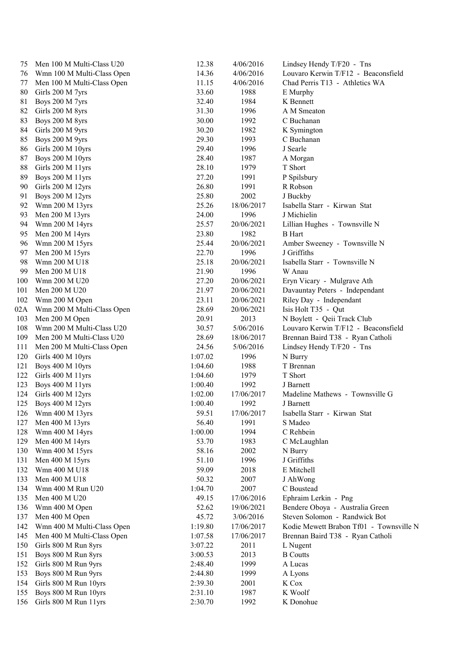| 75  | Men 100 M Multi-Class U20  | 12.38   | 4/06/2016  | Lindsey Hendy T/F20 - Tns               |
|-----|----------------------------|---------|------------|-----------------------------------------|
| 76  | Wmn 100 M Multi-Class Open | 14.36   | 4/06/2016  | Louvaro Kerwin T/F12 - Beaconsfield     |
| 77  | Men 100 M Multi-Class Open | 11.15   | 4/06/2016  | Chad Perris T13 - Athletics WA          |
| 80  | Girls 200 M 7yrs           | 33.60   | 1988       | E Murphy                                |
| 81  | Boys 200 M 7yrs            | 32.40   | 1984       | K Bennett                               |
| 82  | Girls 200 M 8yrs           | 31.30   | 1996       | A M Smeaton                             |
| 83  | Boys 200 M 8yrs            | 30.00   | 1992       | C Buchanan                              |
| 84  | Girls 200 M 9yrs           | 30.20   | 1982       | K Symington                             |
| 85  | Boys 200 M 9yrs            | 29.30   | 1993       | C Buchanan                              |
| 86  | Girls 200 M 10yrs          | 29.40   | 1996       | J Searle                                |
| 87  | Boys 200 M 10yrs           | 28.40   | 1987       | A Morgan                                |
| 88  | Girls 200 M 11yrs          | 28.10   | 1979       | T Short                                 |
| 89  | Boys 200 M 11yrs           | 27.20   | 1991       | P Spilsbury                             |
| 90  | Girls 200 M 12yrs          | 26.80   | 1991       | R Robson                                |
| 91  | <b>Boys 200 M 12yrs</b>    | 25.80   | 2002       | J Buckby                                |
| 92  | Wmn 200 M 13yrs            | 25.26   | 18/06/2017 | Isabella Starr - Kirwan Stat            |
| 93  | Men 200 M 13yrs            | 24.00   | 1996       | J Michielin                             |
| 94  | Wmn 200 M 14yrs            | 25.57   | 20/06/2021 | Lillian Hughes - Townsville N           |
| 95  | Men 200 M 14yrs            | 23.80   | 1982       | <b>B</b> Hart                           |
| 96  | Wmn 200 M 15yrs            | 25.44   | 20/06/2021 | Amber Sweeney - Townsville N            |
| 97  | Men 200 M 15yrs            | 22.70   | 1996       | J Griffiths                             |
| 98  | Wmn 200 M U18              | 25.18   | 20/06/2021 | Isabella Starr - Townsville N           |
| 99  | Men 200 M U18              | 21.90   | 1996       | W Anau                                  |
| 100 | Wmn 200 M U20              | 27.20   | 20/06/2021 | Eryn Vicary - Mulgrave Ath              |
| 101 | Men 200 M U20              | 21.97   | 20/06/2021 | Davauntay Peters - Independant          |
| 102 | Wmn 200 M Open             | 23.11   | 20/06/2021 | Riley Day - Independant                 |
| 02A | Wmn 200 M Multi-Class Open | 28.69   | 20/06/2021 | Isis Holt T35 - Qut                     |
| 103 | Men 200 M Open             | 20.91   | 2013       | N Boylett - Qeii Track Club             |
| 108 | Wmn 200 M Multi-Class U20  | 30.57   | 5/06/2016  | Louvaro Kerwin T/F12 - Beaconsfield     |
| 109 | Men 200 M Multi-Class U20  | 28.69   | 18/06/2017 | Brennan Baird T38 - Ryan Catholi        |
| 111 | Men 200 M Multi-Class Open | 24.56   | 5/06/2016  | Lindsey Hendy T/F20 - Tns               |
| 120 | Girls 400 M 10yrs          | 1:07.02 | 1996       | N Burry                                 |
| 121 | Boys 400 M 10yrs           | 1:04.60 | 1988       | T Brennan                               |
| 122 | Girls 400 M 11yrs          | 1:04.60 | 1979       | T Short                                 |
| 123 | Boys 400 M 11yrs           | 1:00.40 | 1992       | J Barnett                               |
| 124 | Girls 400 M 12yrs          | 1:02.00 | 17/06/2017 | Madeline Mathews - Townsville G         |
| 125 | <b>Boys 400 M 12yrs</b>    | 1:00.40 | 1992       | J Barnett                               |
|     | 126 Wmn 400 M 13yrs        | 59.51   | 17/06/2017 | Isabella Starr - Kirwan Stat            |
| 127 | Men 400 M 13yrs            | 56.40   | 1991       | S Madeo                                 |
| 128 | Wmn 400 M 14yrs            | 1:00.00 | 1994       | C Rehbein                               |
| 129 | Men 400 M 14yrs            | 53.70   | 1983       | C McLaughlan                            |
| 130 | Wmn 400 M 15yrs            | 58.16   | 2002       | N Burry                                 |
| 131 | Men 400 M 15yrs            | 51.10   | 1996       | J Griffiths                             |
| 132 | Wmn 400 M U18              | 59.09   | 2018       | E Mitchell                              |
| 133 | Men 400 M U18              | 50.32   | 2007       | J AhWong                                |
| 134 | Wmn 400 M Run U20          | 1:04.70 | 2007       | C Boustead                              |
| 135 | Men 400 M U20              | 49.15   | 17/06/2016 | Ephraim Lerkin - Png                    |
| 136 | Wmn 400 M Open             | 52.62   | 19/06/2021 | Bendere Oboya - Australia Green         |
| 137 | Men 400 M Open             | 45.72   | 3/06/2016  | Steven Solomon - Randwick Bot           |
| 142 | Wmn 400 M Multi-Class Open | 1:19.80 | 17/06/2017 | Kodie Mewett Brabon Tf01 - Townsville N |
| 145 | Men 400 M Multi-Class Open | 1:07.58 | 17/06/2017 | Brennan Baird T38 - Ryan Catholi        |
| 150 | Girls 800 M Run 8yrs       | 3:07.22 | 2011       | L Nugent                                |
| 151 | Boys 800 M Run 8yrs        | 3:00.53 | 2013       | <b>B</b> Coutts                         |
| 152 | Girls 800 M Run 9yrs       | 2:48.40 | 1999       | A Lucas                                 |
| 153 | Boys 800 M Run 9yrs        | 2:44.80 | 1999       | A Lyons                                 |
| 154 | Girls 800 M Run 10yrs      | 2:39.30 | 2001       | K Cox                                   |
| 155 | Boys 800 M Run 10yrs       | 2:31.10 | 1987       | K Woolf                                 |
| 156 | Girls 800 M Run 11yrs      | 2:30.70 | 1992       | K Donohue                               |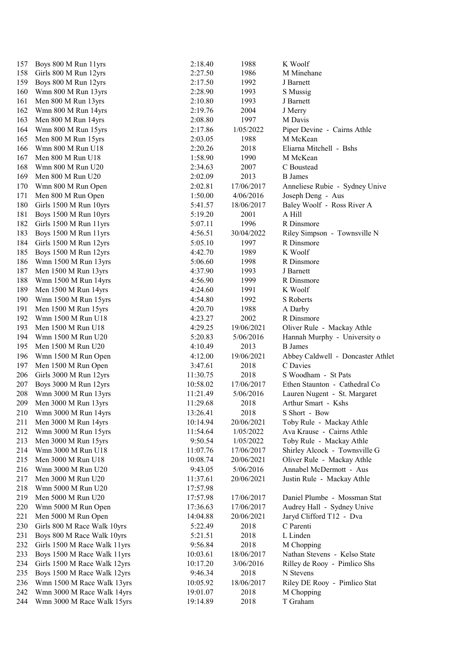| Boys 800 M Run 11yrs         | 2:18.40                                                                                                                                                                                                                                                                                                                                                                                                                                                                                                                                                                                                                                                                                                                                                                                                                                                                                                                                                                                                                                                           | 1988                                                                                                                                                                                                                                                                                                                                                                                                                                       | K Woolf                                                                                                                                                                                                                                                                                                                                                                                                              |
|------------------------------|-------------------------------------------------------------------------------------------------------------------------------------------------------------------------------------------------------------------------------------------------------------------------------------------------------------------------------------------------------------------------------------------------------------------------------------------------------------------------------------------------------------------------------------------------------------------------------------------------------------------------------------------------------------------------------------------------------------------------------------------------------------------------------------------------------------------------------------------------------------------------------------------------------------------------------------------------------------------------------------------------------------------------------------------------------------------|--------------------------------------------------------------------------------------------------------------------------------------------------------------------------------------------------------------------------------------------------------------------------------------------------------------------------------------------------------------------------------------------------------------------------------------------|----------------------------------------------------------------------------------------------------------------------------------------------------------------------------------------------------------------------------------------------------------------------------------------------------------------------------------------------------------------------------------------------------------------------|
| Girls 800 M Run 12yrs        | 2:27.50                                                                                                                                                                                                                                                                                                                                                                                                                                                                                                                                                                                                                                                                                                                                                                                                                                                                                                                                                                                                                                                           | 1986                                                                                                                                                                                                                                                                                                                                                                                                                                       | M Minehane                                                                                                                                                                                                                                                                                                                                                                                                           |
| Boys 800 M Run 12yrs         | 2:17.50                                                                                                                                                                                                                                                                                                                                                                                                                                                                                                                                                                                                                                                                                                                                                                                                                                                                                                                                                                                                                                                           | 1992                                                                                                                                                                                                                                                                                                                                                                                                                                       | J Barnett                                                                                                                                                                                                                                                                                                                                                                                                            |
|                              | 2:28.90                                                                                                                                                                                                                                                                                                                                                                                                                                                                                                                                                                                                                                                                                                                                                                                                                                                                                                                                                                                                                                                           | 1993                                                                                                                                                                                                                                                                                                                                                                                                                                       | S Mussig                                                                                                                                                                                                                                                                                                                                                                                                             |
|                              | 2:10.80                                                                                                                                                                                                                                                                                                                                                                                                                                                                                                                                                                                                                                                                                                                                                                                                                                                                                                                                                                                                                                                           | 1993                                                                                                                                                                                                                                                                                                                                                                                                                                       | J Barnett                                                                                                                                                                                                                                                                                                                                                                                                            |
|                              | 2:19.76                                                                                                                                                                                                                                                                                                                                                                                                                                                                                                                                                                                                                                                                                                                                                                                                                                                                                                                                                                                                                                                           | 2004                                                                                                                                                                                                                                                                                                                                                                                                                                       | J Merry                                                                                                                                                                                                                                                                                                                                                                                                              |
|                              |                                                                                                                                                                                                                                                                                                                                                                                                                                                                                                                                                                                                                                                                                                                                                                                                                                                                                                                                                                                                                                                                   |                                                                                                                                                                                                                                                                                                                                                                                                                                            | M Davis                                                                                                                                                                                                                                                                                                                                                                                                              |
|                              |                                                                                                                                                                                                                                                                                                                                                                                                                                                                                                                                                                                                                                                                                                                                                                                                                                                                                                                                                                                                                                                                   |                                                                                                                                                                                                                                                                                                                                                                                                                                            | Piper Devine - Cairns Athle                                                                                                                                                                                                                                                                                                                                                                                          |
|                              |                                                                                                                                                                                                                                                                                                                                                                                                                                                                                                                                                                                                                                                                                                                                                                                                                                                                                                                                                                                                                                                                   |                                                                                                                                                                                                                                                                                                                                                                                                                                            | M McKean                                                                                                                                                                                                                                                                                                                                                                                                             |
|                              |                                                                                                                                                                                                                                                                                                                                                                                                                                                                                                                                                                                                                                                                                                                                                                                                                                                                                                                                                                                                                                                                   |                                                                                                                                                                                                                                                                                                                                                                                                                                            | Eliarna Mitchell - Bshs                                                                                                                                                                                                                                                                                                                                                                                              |
|                              |                                                                                                                                                                                                                                                                                                                                                                                                                                                                                                                                                                                                                                                                                                                                                                                                                                                                                                                                                                                                                                                                   |                                                                                                                                                                                                                                                                                                                                                                                                                                            | M McKean                                                                                                                                                                                                                                                                                                                                                                                                             |
|                              |                                                                                                                                                                                                                                                                                                                                                                                                                                                                                                                                                                                                                                                                                                                                                                                                                                                                                                                                                                                                                                                                   |                                                                                                                                                                                                                                                                                                                                                                                                                                            | C Boustead                                                                                                                                                                                                                                                                                                                                                                                                           |
|                              |                                                                                                                                                                                                                                                                                                                                                                                                                                                                                                                                                                                                                                                                                                                                                                                                                                                                                                                                                                                                                                                                   |                                                                                                                                                                                                                                                                                                                                                                                                                                            | <b>B</b> James                                                                                                                                                                                                                                                                                                                                                                                                       |
|                              |                                                                                                                                                                                                                                                                                                                                                                                                                                                                                                                                                                                                                                                                                                                                                                                                                                                                                                                                                                                                                                                                   |                                                                                                                                                                                                                                                                                                                                                                                                                                            | Anneliese Rubie - Sydney Unive                                                                                                                                                                                                                                                                                                                                                                                       |
|                              |                                                                                                                                                                                                                                                                                                                                                                                                                                                                                                                                                                                                                                                                                                                                                                                                                                                                                                                                                                                                                                                                   |                                                                                                                                                                                                                                                                                                                                                                                                                                            | Joseph Deng - Aus                                                                                                                                                                                                                                                                                                                                                                                                    |
|                              |                                                                                                                                                                                                                                                                                                                                                                                                                                                                                                                                                                                                                                                                                                                                                                                                                                                                                                                                                                                                                                                                   |                                                                                                                                                                                                                                                                                                                                                                                                                                            | Baley Woolf - Ross River A                                                                                                                                                                                                                                                                                                                                                                                           |
|                              |                                                                                                                                                                                                                                                                                                                                                                                                                                                                                                                                                                                                                                                                                                                                                                                                                                                                                                                                                                                                                                                                   |                                                                                                                                                                                                                                                                                                                                                                                                                                            | A Hill                                                                                                                                                                                                                                                                                                                                                                                                               |
|                              |                                                                                                                                                                                                                                                                                                                                                                                                                                                                                                                                                                                                                                                                                                                                                                                                                                                                                                                                                                                                                                                                   |                                                                                                                                                                                                                                                                                                                                                                                                                                            | R Dinsmore                                                                                                                                                                                                                                                                                                                                                                                                           |
|                              |                                                                                                                                                                                                                                                                                                                                                                                                                                                                                                                                                                                                                                                                                                                                                                                                                                                                                                                                                                                                                                                                   |                                                                                                                                                                                                                                                                                                                                                                                                                                            |                                                                                                                                                                                                                                                                                                                                                                                                                      |
|                              |                                                                                                                                                                                                                                                                                                                                                                                                                                                                                                                                                                                                                                                                                                                                                                                                                                                                                                                                                                                                                                                                   |                                                                                                                                                                                                                                                                                                                                                                                                                                            | Riley Simpson - Townsville N                                                                                                                                                                                                                                                                                                                                                                                         |
|                              |                                                                                                                                                                                                                                                                                                                                                                                                                                                                                                                                                                                                                                                                                                                                                                                                                                                                                                                                                                                                                                                                   |                                                                                                                                                                                                                                                                                                                                                                                                                                            | R Dinsmore                                                                                                                                                                                                                                                                                                                                                                                                           |
|                              |                                                                                                                                                                                                                                                                                                                                                                                                                                                                                                                                                                                                                                                                                                                                                                                                                                                                                                                                                                                                                                                                   |                                                                                                                                                                                                                                                                                                                                                                                                                                            | K Woolf                                                                                                                                                                                                                                                                                                                                                                                                              |
|                              |                                                                                                                                                                                                                                                                                                                                                                                                                                                                                                                                                                                                                                                                                                                                                                                                                                                                                                                                                                                                                                                                   |                                                                                                                                                                                                                                                                                                                                                                                                                                            | R Dinsmore                                                                                                                                                                                                                                                                                                                                                                                                           |
|                              |                                                                                                                                                                                                                                                                                                                                                                                                                                                                                                                                                                                                                                                                                                                                                                                                                                                                                                                                                                                                                                                                   |                                                                                                                                                                                                                                                                                                                                                                                                                                            | J Barnett                                                                                                                                                                                                                                                                                                                                                                                                            |
|                              |                                                                                                                                                                                                                                                                                                                                                                                                                                                                                                                                                                                                                                                                                                                                                                                                                                                                                                                                                                                                                                                                   |                                                                                                                                                                                                                                                                                                                                                                                                                                            | R Dinsmore                                                                                                                                                                                                                                                                                                                                                                                                           |
|                              |                                                                                                                                                                                                                                                                                                                                                                                                                                                                                                                                                                                                                                                                                                                                                                                                                                                                                                                                                                                                                                                                   |                                                                                                                                                                                                                                                                                                                                                                                                                                            | K Woolf                                                                                                                                                                                                                                                                                                                                                                                                              |
|                              |                                                                                                                                                                                                                                                                                                                                                                                                                                                                                                                                                                                                                                                                                                                                                                                                                                                                                                                                                                                                                                                                   |                                                                                                                                                                                                                                                                                                                                                                                                                                            | <b>S</b> Roberts                                                                                                                                                                                                                                                                                                                                                                                                     |
|                              |                                                                                                                                                                                                                                                                                                                                                                                                                                                                                                                                                                                                                                                                                                                                                                                                                                                                                                                                                                                                                                                                   |                                                                                                                                                                                                                                                                                                                                                                                                                                            | A Darby                                                                                                                                                                                                                                                                                                                                                                                                              |
| Wmn 1500 M Run U18           | 4:23.27                                                                                                                                                                                                                                                                                                                                                                                                                                                                                                                                                                                                                                                                                                                                                                                                                                                                                                                                                                                                                                                           |                                                                                                                                                                                                                                                                                                                                                                                                                                            | R Dinsmore                                                                                                                                                                                                                                                                                                                                                                                                           |
| Men 1500 M Run U18           | 4:29.25                                                                                                                                                                                                                                                                                                                                                                                                                                                                                                                                                                                                                                                                                                                                                                                                                                                                                                                                                                                                                                                           |                                                                                                                                                                                                                                                                                                                                                                                                                                            | Oliver Rule - Mackay Athle                                                                                                                                                                                                                                                                                                                                                                                           |
| Wmn 1500 M Run U20           | 5:20.83                                                                                                                                                                                                                                                                                                                                                                                                                                                                                                                                                                                                                                                                                                                                                                                                                                                                                                                                                                                                                                                           | 5/06/2016                                                                                                                                                                                                                                                                                                                                                                                                                                  | Hannah Murphy - University o                                                                                                                                                                                                                                                                                                                                                                                         |
| Men 1500 M Run U20           | 4:10.49                                                                                                                                                                                                                                                                                                                                                                                                                                                                                                                                                                                                                                                                                                                                                                                                                                                                                                                                                                                                                                                           | 2013                                                                                                                                                                                                                                                                                                                                                                                                                                       | <b>B</b> James                                                                                                                                                                                                                                                                                                                                                                                                       |
| Wmn 1500 M Run Open          | 4:12.00                                                                                                                                                                                                                                                                                                                                                                                                                                                                                                                                                                                                                                                                                                                                                                                                                                                                                                                                                                                                                                                           | 19/06/2021                                                                                                                                                                                                                                                                                                                                                                                                                                 | Abbey Caldwell - Doncaster Athlet                                                                                                                                                                                                                                                                                                                                                                                    |
| Men 1500 M Run Open          | 3:47.61                                                                                                                                                                                                                                                                                                                                                                                                                                                                                                                                                                                                                                                                                                                                                                                                                                                                                                                                                                                                                                                           | 2018                                                                                                                                                                                                                                                                                                                                                                                                                                       | C Davies                                                                                                                                                                                                                                                                                                                                                                                                             |
|                              | 11:30.75                                                                                                                                                                                                                                                                                                                                                                                                                                                                                                                                                                                                                                                                                                                                                                                                                                                                                                                                                                                                                                                          | 2018                                                                                                                                                                                                                                                                                                                                                                                                                                       | S Woodham - St Pats                                                                                                                                                                                                                                                                                                                                                                                                  |
|                              | 10:58.02                                                                                                                                                                                                                                                                                                                                                                                                                                                                                                                                                                                                                                                                                                                                                                                                                                                                                                                                                                                                                                                          | 17/06/2017                                                                                                                                                                                                                                                                                                                                                                                                                                 | Ethen Staunton - Cathedral Co                                                                                                                                                                                                                                                                                                                                                                                        |
|                              |                                                                                                                                                                                                                                                                                                                                                                                                                                                                                                                                                                                                                                                                                                                                                                                                                                                                                                                                                                                                                                                                   |                                                                                                                                                                                                                                                                                                                                                                                                                                            | Lauren Nugent - St. Margaret                                                                                                                                                                                                                                                                                                                                                                                         |
|                              |                                                                                                                                                                                                                                                                                                                                                                                                                                                                                                                                                                                                                                                                                                                                                                                                                                                                                                                                                                                                                                                                   |                                                                                                                                                                                                                                                                                                                                                                                                                                            | Arthur Smart - Kshs                                                                                                                                                                                                                                                                                                                                                                                                  |
|                              |                                                                                                                                                                                                                                                                                                                                                                                                                                                                                                                                                                                                                                                                                                                                                                                                                                                                                                                                                                                                                                                                   |                                                                                                                                                                                                                                                                                                                                                                                                                                            | S Short - Bow                                                                                                                                                                                                                                                                                                                                                                                                        |
|                              |                                                                                                                                                                                                                                                                                                                                                                                                                                                                                                                                                                                                                                                                                                                                                                                                                                                                                                                                                                                                                                                                   |                                                                                                                                                                                                                                                                                                                                                                                                                                            | Toby Rule - Mackay Athle                                                                                                                                                                                                                                                                                                                                                                                             |
|                              |                                                                                                                                                                                                                                                                                                                                                                                                                                                                                                                                                                                                                                                                                                                                                                                                                                                                                                                                                                                                                                                                   |                                                                                                                                                                                                                                                                                                                                                                                                                                            | Ava Krause - Cairns Athle                                                                                                                                                                                                                                                                                                                                                                                            |
|                              |                                                                                                                                                                                                                                                                                                                                                                                                                                                                                                                                                                                                                                                                                                                                                                                                                                                                                                                                                                                                                                                                   |                                                                                                                                                                                                                                                                                                                                                                                                                                            | Toby Rule - Mackay Athle                                                                                                                                                                                                                                                                                                                                                                                             |
|                              |                                                                                                                                                                                                                                                                                                                                                                                                                                                                                                                                                                                                                                                                                                                                                                                                                                                                                                                                                                                                                                                                   |                                                                                                                                                                                                                                                                                                                                                                                                                                            | Shirley Alcock - Townsville G                                                                                                                                                                                                                                                                                                                                                                                        |
|                              |                                                                                                                                                                                                                                                                                                                                                                                                                                                                                                                                                                                                                                                                                                                                                                                                                                                                                                                                                                                                                                                                   |                                                                                                                                                                                                                                                                                                                                                                                                                                            | Oliver Rule - Mackay Athle                                                                                                                                                                                                                                                                                                                                                                                           |
|                              |                                                                                                                                                                                                                                                                                                                                                                                                                                                                                                                                                                                                                                                                                                                                                                                                                                                                                                                                                                                                                                                                   |                                                                                                                                                                                                                                                                                                                                                                                                                                            | Annabel McDermott - Aus                                                                                                                                                                                                                                                                                                                                                                                              |
|                              |                                                                                                                                                                                                                                                                                                                                                                                                                                                                                                                                                                                                                                                                                                                                                                                                                                                                                                                                                                                                                                                                   |                                                                                                                                                                                                                                                                                                                                                                                                                                            |                                                                                                                                                                                                                                                                                                                                                                                                                      |
|                              |                                                                                                                                                                                                                                                                                                                                                                                                                                                                                                                                                                                                                                                                                                                                                                                                                                                                                                                                                                                                                                                                   |                                                                                                                                                                                                                                                                                                                                                                                                                                            | Justin Rule - Mackay Athle                                                                                                                                                                                                                                                                                                                                                                                           |
|                              |                                                                                                                                                                                                                                                                                                                                                                                                                                                                                                                                                                                                                                                                                                                                                                                                                                                                                                                                                                                                                                                                   |                                                                                                                                                                                                                                                                                                                                                                                                                                            |                                                                                                                                                                                                                                                                                                                                                                                                                      |
|                              |                                                                                                                                                                                                                                                                                                                                                                                                                                                                                                                                                                                                                                                                                                                                                                                                                                                                                                                                                                                                                                                                   |                                                                                                                                                                                                                                                                                                                                                                                                                                            | Daniel Plumbe - Mossman Stat                                                                                                                                                                                                                                                                                                                                                                                         |
|                              |                                                                                                                                                                                                                                                                                                                                                                                                                                                                                                                                                                                                                                                                                                                                                                                                                                                                                                                                                                                                                                                                   |                                                                                                                                                                                                                                                                                                                                                                                                                                            | Audrey Hall - Sydney Unive                                                                                                                                                                                                                                                                                                                                                                                           |
|                              |                                                                                                                                                                                                                                                                                                                                                                                                                                                                                                                                                                                                                                                                                                                                                                                                                                                                                                                                                                                                                                                                   |                                                                                                                                                                                                                                                                                                                                                                                                                                            | Jaryd Clifford T12 - Dva                                                                                                                                                                                                                                                                                                                                                                                             |
|                              |                                                                                                                                                                                                                                                                                                                                                                                                                                                                                                                                                                                                                                                                                                                                                                                                                                                                                                                                                                                                                                                                   |                                                                                                                                                                                                                                                                                                                                                                                                                                            | C Parenti                                                                                                                                                                                                                                                                                                                                                                                                            |
|                              |                                                                                                                                                                                                                                                                                                                                                                                                                                                                                                                                                                                                                                                                                                                                                                                                                                                                                                                                                                                                                                                                   |                                                                                                                                                                                                                                                                                                                                                                                                                                            | L Linden                                                                                                                                                                                                                                                                                                                                                                                                             |
|                              |                                                                                                                                                                                                                                                                                                                                                                                                                                                                                                                                                                                                                                                                                                                                                                                                                                                                                                                                                                                                                                                                   |                                                                                                                                                                                                                                                                                                                                                                                                                                            | M Chopping                                                                                                                                                                                                                                                                                                                                                                                                           |
| Boys 1500 M Race Walk 11yrs  | 10:03.61                                                                                                                                                                                                                                                                                                                                                                                                                                                                                                                                                                                                                                                                                                                                                                                                                                                                                                                                                                                                                                                          | 18/06/2017                                                                                                                                                                                                                                                                                                                                                                                                                                 | Nathan Stevens - Kelso State                                                                                                                                                                                                                                                                                                                                                                                         |
| Girls 1500 M Race Walk 12yrs | 10:17.20                                                                                                                                                                                                                                                                                                                                                                                                                                                                                                                                                                                                                                                                                                                                                                                                                                                                                                                                                                                                                                                          | 3/06/2016                                                                                                                                                                                                                                                                                                                                                                                                                                  | Rilley de Rooy - Pimlico Shs                                                                                                                                                                                                                                                                                                                                                                                         |
| Boys 1500 M Race Walk 12yrs  | 9:46.34                                                                                                                                                                                                                                                                                                                                                                                                                                                                                                                                                                                                                                                                                                                                                                                                                                                                                                                                                                                                                                                           | 2018                                                                                                                                                                                                                                                                                                                                                                                                                                       | N Stevens                                                                                                                                                                                                                                                                                                                                                                                                            |
| Wmn 1500 M Race Walk 13yrs   | 10:05.92                                                                                                                                                                                                                                                                                                                                                                                                                                                                                                                                                                                                                                                                                                                                                                                                                                                                                                                                                                                                                                                          | 18/06/2017                                                                                                                                                                                                                                                                                                                                                                                                                                 | Riley DE Rooy - Pimlico Stat                                                                                                                                                                                                                                                                                                                                                                                         |
| Wmn 3000 M Race Walk 14yrs   | 19:01.07                                                                                                                                                                                                                                                                                                                                                                                                                                                                                                                                                                                                                                                                                                                                                                                                                                                                                                                                                                                                                                                          | 2018                                                                                                                                                                                                                                                                                                                                                                                                                                       | M Chopping                                                                                                                                                                                                                                                                                                                                                                                                           |
| Wmn 3000 M Race Walk 15yrs   | 19:14.89                                                                                                                                                                                                                                                                                                                                                                                                                                                                                                                                                                                                                                                                                                                                                                                                                                                                                                                                                                                                                                                          | 2018                                                                                                                                                                                                                                                                                                                                                                                                                                       | T Graham                                                                                                                                                                                                                                                                                                                                                                                                             |
|                              | Wmn 800 M Run 13yrs<br>Men 800 M Run 13yrs<br>Wmn 800 M Run 14yrs<br>Men 800 M Run 14yrs<br>Wmn 800 M Run 15yrs<br>Men 800 M Run 15yrs<br>Wmn 800 M Run U18<br>Men 800 M Run U18<br>Wmn 800 M Run U20<br>Men 800 M Run U20<br>Wmn 800 M Run Open<br>Men 800 M Run Open<br>Girls 1500 M Run 10yrs<br>Boys 1500 M Run 10yrs<br>Girls 1500 M Run 11yrs<br>Boys 1500 M Run 11yrs<br>Girls 1500 M Run 12yrs<br>Boys 1500 M Run 12yrs<br>Wmn 1500 M Run 13yrs<br>Men 1500 M Run 13yrs<br>Wmn 1500 M Run 14yrs<br>Men 1500 M Run 14yrs<br>Wmn 1500 M Run 15yrs<br>Men 1500 M Run 15yrs<br>Girls 3000 M Run 12yrs<br>Boys 3000 M Run 12yrs<br>Wmn 3000 M Run 13yrs<br>Men 3000 M Run 13yrs<br>Wmn 3000 M Run 14yrs<br>Men 3000 M Run 14yrs<br>Wmn 3000 M Run 15yrs<br>Men 3000 M Run 15yrs<br>Wmn 3000 M Run U18<br>Men 3000 M Run U18<br>Wmn 3000 M Run U20<br>Men 3000 M Run U20<br>Wmn 5000 M Run U20<br>Men 5000 M Run U20<br>Wmn 5000 M Run Open<br>Men 5000 M Run Open<br>Girls 800 M Race Walk 10yrs<br>Boys 800 M Race Walk 10yrs<br>Girls 1500 M Race Walk 11yrs | 2:08.80<br>2:17.86<br>2:03.05<br>2:20.26<br>1:58.90<br>2:34.63<br>2:02.09<br>2:02.81<br>1:50.00<br>5:41.57<br>5:19.20<br>5:07.11<br>4:56.51<br>5:05.10<br>4:42.70<br>5:06.60<br>4:37.90<br>4:56.90<br>4:24.60<br>4:54.80<br>4:20.70<br>11:21.49<br>11:29.68<br>13:26.41<br>10:14.94<br>11:54.64<br>9:50.54<br>11:07.76<br>10:08.74<br>9:43.05<br>11:37.61<br>17:57.98<br>17:57.98<br>17:36.63<br>14:04.88<br>5:22.49<br>5:21.51<br>9:56.84 | 1997<br>1/05/2022<br>1988<br>2018<br>1990<br>2007<br>2013<br>17/06/2017<br>4/06/2016<br>18/06/2017<br>2001<br>1996<br>30/04/2022<br>1997<br>1989<br>1998<br>1993<br>1999<br>1991<br>1992<br>1988<br>2002<br>19/06/2021<br>5/06/2016<br>2018<br>2018<br>20/06/2021<br>1/05/2022<br>1/05/2022<br>17/06/2017<br>20/06/2021<br>5/06/2016<br>20/06/2021<br>17/06/2017<br>17/06/2017<br>20/06/2021<br>2018<br>2018<br>2018 |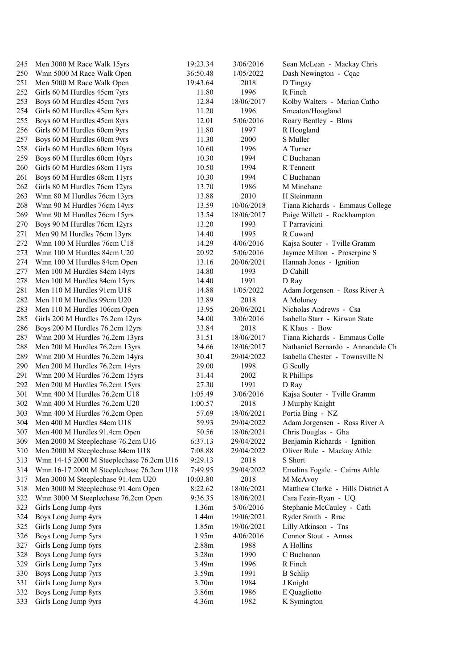| 245 | Men 3000 M Race Walk 15yrs               | 19:23.34 | 3/06/2016  | Sean McLean - Mackay Chris        |
|-----|------------------------------------------|----------|------------|-----------------------------------|
| 250 | Wmn 5000 M Race Walk Open                | 36:50.48 | 1/05/2022  | Dash Newington - Cqac             |
| 251 | Men 5000 M Race Walk Open                | 19:43.64 | 2018       | D Tingay                          |
| 252 | Girls 60 M Hurdles 45cm 7yrs             | 11.80    | 1996       | R Finch                           |
| 253 | Boys 60 M Hurdles 45cm 7yrs              | 12.84    | 18/06/2017 | Kolby Walters - Marian Catho      |
| 254 | Girls 60 M Hurdles 45cm 8yrs             | 11.20    | 1996       | Smeaton/Hoogland                  |
| 255 | Boys 60 M Hurdles 45cm 8yrs              | 12.01    | 5/06/2016  | Roary Bentley - Blms              |
| 256 | Girls 60 M Hurdles 60cm 9yrs             | 11.80    | 1997       | R Hoogland                        |
| 257 | Boys 60 M Hurdles 60cm 9yrs              | 11.30    | 2000       | S Muller                          |
| 258 | Girls 60 M Hurdles 60cm 10yrs            | 10.60    | 1996       | A Turner                          |
| 259 | Boys 60 M Hurdles 60cm 10yrs             | 10.30    | 1994       | C Buchanan                        |
| 260 | Girls 60 M Hurdles 68cm 11yrs            | 10.50    | 1994       | R Tennent                         |
| 261 | Boys 60 M Hurdles 68cm 11yrs             | 10.30    | 1994       | C Buchanan                        |
| 262 | Girls 80 M Hurdles 76cm 12yrs            | 13.70    | 1986       | M Minehane                        |
| 263 | Wmn 80 M Hurdles 76cm 13yrs              | 13.88    | 2010       | H Steinmann                       |
| 268 | Wmn 90 M Hurdles 76cm 14yrs              | 13.59    | 10/06/2018 | Tiana Richards - Emmaus College   |
| 269 | Wmn 90 M Hurdles 76cm 15yrs              | 13.54    | 18/06/2017 | Paige Willett - Rockhampton       |
| 270 | Boys 90 M Hurdles 76cm 12yrs             | 13.20    | 1993       | T Parravicini                     |
| 271 | Men 90 M Hurdles 76cm 13yrs              | 14.40    | 1995       | R Coward                          |
| 272 | Wmn 100 M Hurdles 76cm U18               | 14.29    | 4/06/2016  | Kajsa Souter - Tville Gramm       |
| 273 | Wmn 100 M Hurdles 84cm U20               | 20.92    | 5/06/2016  | Jaymee Milton - Proserpine S      |
| 274 | Wmn 100 M Hurdles 84cm Open              | 13.16    | 20/06/2021 | Hannah Jones - Ignition           |
| 277 | Men 100 M Hurdles 84cm 14yrs             | 14.80    | 1993       | D Cahill                          |
| 278 | Men 100 M Hurdles 84cm 15yrs             | 14.40    | 1991       | D Ray                             |
| 281 | Men 110 M Hurdles 91cm U18               | 14.88    | 1/05/2022  | Adam Jorgensen - Ross River A     |
| 282 | Men 110 M Hurdles 99cm U20               | 13.89    | 2018       | A Moloney                         |
| 283 | Men 110 M Hurdles 106cm Open             | 13.95    | 20/06/2021 | Nicholas Andrews - Csa            |
| 285 | Girls 200 M Hurdles 76.2cm 12yrs         | 34.00    | 3/06/2016  | Isabella Starr - Kirwan State     |
| 286 | Boys 200 M Hurdles 76.2cm 12yrs          | 33.84    | 2018       | K Klaus - Bow                     |
| 287 | Wmn 200 M Hurdles 76.2cm 13yrs           | 31.51    | 18/06/2017 | Tiana Richards - Emmaus Colle     |
| 288 | Men 200 M Hurdles 76.2cm 13yrs           | 34.66    | 18/06/2017 | Nathaniel Bernardo - Annandale Ch |
| 289 | Wmn 200 M Hurdles 76.2cm 14yrs           | 30.41    | 29/04/2022 | Isabella Chester - Townsville N   |
| 290 | Men 200 M Hurdles 76.2cm 14yrs           | 29.00    | 1998       | G Scully                          |
| 291 | Wmn 200 M Hurdles 76.2cm 15yrs           | 31.44    | 2002       | R Phillips                        |
| 292 | Men 200 M Hurdles 76.2cm 15yrs           | 27.30    | 1991       | D Ray                             |
| 301 | Wmn 400 M Hurdles 76.2cm U18             | 1:05.49  | 3/06/2016  | Kajsa Souter - Tville Gramm       |
| 302 | Wmn 400 M Hurdles 76.2cm U20             | 1:00.57  | 2018       | J Murphy Knight                   |
| 303 | Wmn 400 M Hurdles 76.2cm Open            | 57.69    | 18/06/2021 | Portia Bing - NZ                  |
| 304 | Men 400 M Hurdles 84cm U18               | 59.93    | 29/04/2022 | Adam Jorgensen - Ross River A     |
| 307 | Men 400 M Hurdles 91.4cm Open            | 50.56    | 18/06/2021 | Chris Douglas - Gha               |
| 309 | Men 2000 M Steeplechase 76.2cm U16       | 6:37.13  | 29/04/2022 | Benjamin Richards - Ignition      |
| 310 | Men 2000 M Steeplechase 84cm U18         | 7:08.88  | 29/04/2022 | Oliver Rule - Mackay Athle        |
| 313 | Wmn 14-15 2000 M Steeplechase 76.2cm U16 | 9:29.13  | 2018       | S Short                           |
| 314 | Wmn 16-17 2000 M Steeplechase 76.2cm U18 | 7:49.95  | 29/04/2022 | Emalina Fogale - Cairns Athle     |
| 317 | Men 3000 M Steeplechase 91.4cm U20       | 10:03.80 | 2018       | M McAvoy                          |
| 318 | Men 3000 M Steeplechase 91.4cm Open      | 8:22.62  | 18/06/2021 | Matthew Clarke - Hills District A |
| 322 | Wmn 3000 M Steeplechase 76.2cm Open      | 9:36.35  | 18/06/2021 | Cara Feain-Ryan - UQ              |
| 323 | Girls Long Jump 4yrs                     | 1.36m    | 5/06/2016  | Stephanie McCauley - Cath         |
| 324 | Boys Long Jump 4yrs                      | 1.44m    | 19/06/2021 | Ryder Smith - Rrac                |
| 325 | Girls Long Jump 5yrs                     | 1.85m    | 19/06/2021 | Lilly Atkinson - Tns              |
| 326 | Boys Long Jump 5yrs                      | 1.95m    | 4/06/2016  | Connor Stout - Annss              |
| 327 | Girls Long Jump 6yrs                     | 2.88m    | 1988       | A Hollins                         |
| 328 | Boys Long Jump 6yrs                      | 3.28m    | 1990       | C Buchanan                        |
| 329 | Girls Long Jump 7yrs                     | 3.49m    | 1996       | R Finch                           |
| 330 | Boys Long Jump 7yrs                      | 3.59m    | 1991       | <b>B</b> Schlip                   |
| 331 | Girls Long Jump 8yrs                     | 3.70m    | 1984       | J Knight                          |
| 332 | Boys Long Jump 8yrs                      | 3.86m    | 1986       | E Quagliotto                      |
| 333 | Girls Long Jump 9yrs                     | 4.36m    | 1982       | K Symington                       |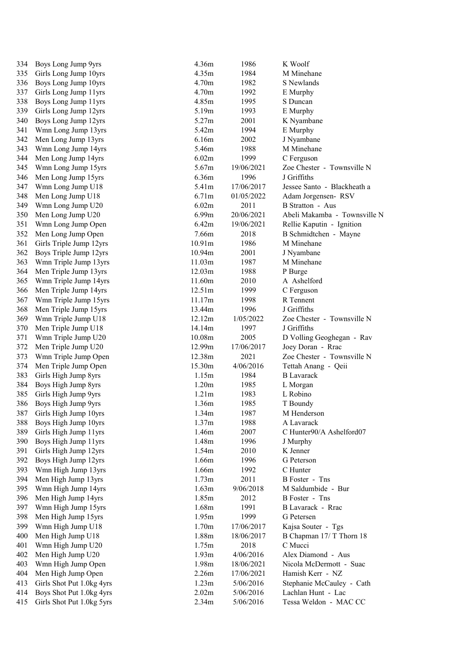| 334 | Boys Long Jump 9yrs       | 4.36m              | 1986       |
|-----|---------------------------|--------------------|------------|
| 335 | Girls Long Jump 10yrs     | 4.35m              | 1984       |
| 336 | Boys Long Jump 10yrs      | 4.70m              | 1982       |
| 337 | Girls Long Jump 11yrs     | 4.70m              | 1992       |
| 338 | Boys Long Jump 11yrs      | 4.85m              | 1995       |
| 339 | Girls Long Jump 12yrs     | 5.19m              | 1993       |
| 340 | Boys Long Jump 12yrs      | 5.27m              | 2001       |
| 341 | Wmn Long Jump 13yrs       | 5.42m              | 1994       |
| 342 | Men Long Jump 13yrs       | 6.16m              | 2002       |
| 343 | Wmn Long Jump 14yrs       | 5.46m              | 1988       |
| 344 |                           | 6.02m              | 1999       |
|     | Men Long Jump 14yrs       | 5.67m              |            |
| 345 | Wmn Long Jump 15yrs       |                    | 19/06/2021 |
| 346 | Men Long Jump 15yrs       | 6.36m              | 1996       |
| 347 | Wmn Long Jump U18         | 5.41m              | 17/06/2017 |
| 348 | Men Long Jump U18         | 6.71m              | 01/05/2022 |
| 349 | Wmn Long Jump U20         | 6.02m              | 2011       |
| 350 | Men Long Jump U20         | 6.99 <sub>m</sub>  | 20/06/2021 |
| 351 | Wmn Long Jump Open        | 6.42m              | 19/06/2021 |
| 352 | Men Long Jump Open        | 7.66m              | 2018       |
| 361 | Girls Triple Jump 12yrs   | 10.91 <sub>m</sub> | 1986       |
| 362 | Boys Triple Jump 12yrs    | 10.94m             | 2001       |
| 363 | Wmn Triple Jump 13yrs     | 11.03m             | 1987       |
| 364 | Men Triple Jump 13yrs     | 12.03m             | 1988       |
| 365 | Wmn Triple Jump 14yrs     | 11.60m             | 2010       |
| 366 | Men Triple Jump 14yrs     | 12.51m             | 1999       |
| 367 | Wmn Triple Jump 15yrs     | 11.17m             | 1998       |
| 368 | Men Triple Jump 15yrs     | 13.44m             | 1996       |
| 369 | Wmn Triple Jump U18       | 12.12m             | 1/05/2022  |
| 370 | Men Triple Jump U18       | 14.14m             | 1997       |
| 371 | Wmn Triple Jump U20       | 10.08m             | 2005       |
| 372 | Men Triple Jump U20       | 12.99m             | 17/06/2017 |
|     |                           |                    |            |
| 373 | Wmn Triple Jump Open      | 12.38m             | 2021       |
| 374 | Men Triple Jump Open      | 15.30m             | 4/06/2016  |
| 383 | Girls High Jump 8yrs      | 1.15m              | 1984       |
| 384 | Boys High Jump 8yrs       | 1.20m              | 1985       |
| 385 | Girls High Jump 9yrs      | 1.21m              | 1983       |
| 386 | Boys High Jump 9yrs       | 1.36m              | 1985       |
| 387 | Girls High Jump 10yrs     | 1.34m              | 1987       |
| 388 | Boys High Jump 10yrs      | 1.37m              | 1988       |
| 389 | Girls High Jump 11yrs     | 1.46m              | 2007       |
| 390 | Boys High Jump 11yrs      | 1.48m              | 1996       |
| 391 | Girls High Jump 12yrs     | 1.54m              | 2010       |
| 392 | Boys High Jump 12yrs      | 1.66m              | 1996       |
| 393 | Wmn High Jump 13yrs       | 1.66m              | 1992       |
| 394 | Men High Jump 13yrs       | 1.73m              | 2011       |
| 395 | Wmn High Jump 14yrs       | 1.63m              | 9/06/2018  |
| 396 | Men High Jump 14yrs       | 1.85m              | 2012       |
| 397 | Wmn High Jump 15yrs       | 1.68m              | 1991       |
| 398 | Men High Jump 15yrs       | 1.95m              | 1999       |
| 399 | Wmn High Jump U18         | 1.70m              | 17/06/2017 |
| 400 | Men High Jump U18         | 1.88m              | 18/06/2017 |
| 401 | Wmn High Jump U20         | 1.75m              | 2018       |
| 402 | Men High Jump U20         | 1.93m              | 4/06/2016  |
| 403 | Wmn High Jump Open        | 1.98m              | 18/06/2021 |
| 404 | Men High Jump Open        | 2.26m              | 17/06/2021 |
| 413 | Girls Shot Put 1.0kg 4yrs | 1.23m              | 5/06/2016  |
| 414 | Boys Shot Put 1.0kg 4yrs  | 2.02m              | 5/06/2016  |
| 415 | Girls Shot Put 1.0kg 5yrs | 2.34m              | 5/06/2016  |
|     |                           |                    |            |

| Boys Long Jump 9yrs                        | 4.36m  | 1986       | K Woolf                      |
|--------------------------------------------|--------|------------|------------------------------|
| Girls Long Jump 10yrs                      | 4.35m  | 1984       | M Minehane                   |
| Boys Long Jump 10yrs                       | 4.70m  | 1982       | S Newlands                   |
| Girls Long Jump 11yrs                      | 4.70m  | 1992       | E Murphy                     |
| Boys Long Jump 11yrs                       | 4.85m  | 1995       | S Duncan                     |
| Girls Long Jump 12yrs                      | 5.19m  | 1993       | E Murphy                     |
| Boys Long Jump 12yrs                       | 5.27m  | 2001       | K Nyambane                   |
| Wmn Long Jump 13yrs                        | 5.42m  | 1994       | E Murphy                     |
| Men Long Jump 13yrs                        | 6.16m  | 2002       | J Nyambane                   |
| Wmn Long Jump 14yrs                        | 5.46m  | 1988       | M Minehane                   |
| Men Long Jump 14yrs                        | 6.02m  | 1999       | C Ferguson                   |
| Wmn Long Jump 15yrs                        | 5.67m  | 19/06/2021 | Zoe Chester - Townsville N   |
| Men Long Jump 15yrs                        | 6.36m  | 1996       | J Griffiths                  |
| Wmn Long Jump U18                          | 5.41m  | 17/06/2017 | Jessee Santo - Blackheath a  |
| Men Long Jump U18                          | 6.71m  | 01/05/2022 | Adam Jorgensen-RSV           |
| Wmn Long Jump U20                          | 6.02m  | 2011       | <b>B</b> Stratton - Aus      |
| Men Long Jump U20                          | 6.99m  | 20/06/2021 | Abeli Makamba - Townsville N |
| Wmn Long Jump Open                         | 6.42m  | 19/06/2021 | Rellie Kaputin - Ignition    |
| Men Long Jump Open                         | 7.66m  | 2018       | B Schmidtchen - Mayne        |
| Girls Triple Jump 12yrs                    | 10.91m | 1986       | M Minehane                   |
| Boys Triple Jump 12yrs                     | 10.94m | 2001       | J Nyambane                   |
| Wmn Triple Jump 13yrs                      | 11.03m | 1987       | M Minehane                   |
| Men Triple Jump 13yrs                      | 12.03m | 1988       | P Burge                      |
| Wmn Triple Jump 14yrs                      | 11.60m | 2010       | A Ashelford                  |
| Men Triple Jump 14yrs                      | 12.51m | 1999       | C Ferguson                   |
| Wmn Triple Jump 15yrs                      | 11.17m | 1998       | R Tennent                    |
| Men Triple Jump 15yrs                      | 13.44m | 1996       | J Griffiths                  |
| Wmn Triple Jump U18                        | 12.12m | 1/05/2022  | Zoe Chester - Townsville N   |
| Men Triple Jump U18                        | 14.14m | 1997       | J Griffiths                  |
| Wmn Triple Jump U20                        | 10.08m | 2005       | D Volling Geoghegan - Rav    |
| Men Triple Jump U20                        | 12.99m | 17/06/2017 | Joey Doran - Rrac            |
| Wmn Triple Jump Open                       | 12.38m | 2021       | Zoe Chester - Townsville N   |
| Men Triple Jump Open                       | 15.30m | 4/06/2016  | Tettah Anang - Qeii          |
| Girls High Jump 8yrs                       | 1.15m  | 1984       | <b>B</b> Lavarack            |
| Boys High Jump 8yrs                        | 1.20m  | 1985       | L Morgan                     |
| Girls High Jump 9yrs                       | 1.21m  | 1983       | L Robino                     |
| Boys High Jump 9yrs                        | 1.36m  | 1985       | T Boundy                     |
| Girls High Jump 10yrs                      | 1.34m  | 1987       | M Henderson                  |
| Boys High Jump 10yrs                       | 1.37m  | 1988       | A Lavarack                   |
| Girls High Jump 11yrs                      | 1.46m  | 2007       | C Hunter90/A Ashelford07     |
| Boys High Jump 11yrs                       | 1.48m  | 1996       | J Murphy                     |
| Girls High Jump 12yrs                      | 1.54m  | 2010       | K Jenner                     |
| Boys High Jump 12yrs                       | 1.66m  | 1996       | G Peterson                   |
| Wmn High Jump 13yrs                        | 1.66m  | 1992       | C Hunter                     |
| Men High Jump 13yrs                        | 1.73m  | 2011       | <b>B</b> Foster - Tns        |
| Wmn High Jump 14yrs                        | 1.63m  | 9/06/2018  | M Saldumbide - Bur           |
|                                            | 1.85m  | 2012       | <b>B</b> Foster - Tns        |
| Men High Jump 14yrs<br>Wmn High Jump 15yrs | 1.68m  | 1991       | B Lavarack - Rrac            |
|                                            | 1.95m  | 1999       | G Petersen                   |
| Men High Jump 15yrs                        |        |            |                              |
| Wmn High Jump U18                          | 1.70m  | 17/06/2017 | Kajsa Souter - Tgs           |
| Men High Jump U18                          | 1.88m  | 18/06/2017 | B Chapman $17/$ T Thorn $18$ |
| Wmn High Jump U20                          | 1.75m  | 2018       | C Mucci                      |
| Men High Jump U20                          | 1.93m  | 4/06/2016  | Alex Diamond - Aus           |
| Wmn High Jump Open                         | 1.98m  | 18/06/2021 | Nicola McDermott - Suac      |
| Men High Jump Open                         | 2.26m  | 17/06/2021 | Hamish Kerr - NZ             |
| Girls Shot Put 1.0kg 4yrs                  | 1.23m  | 5/06/2016  | Stephanie McCauley - Cath    |
| Boys Shot Put 1.0kg 4yrs                   | 2.02m  | 5/06/2016  | Lachlan Hunt - Lac           |
| Girls Shot Put 1.0kg 5yrs                  | 2.34m  | 5/06/2016  | Tessa Weldon - MAC CC        |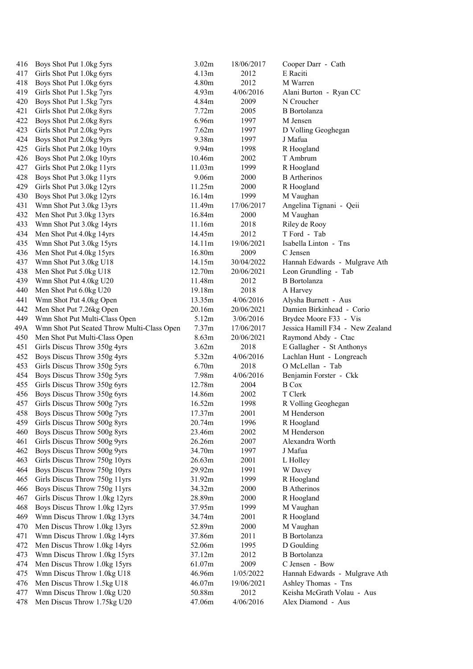| 416 | Boys Shot Put 1.0kg 5yrs                   | 3.02m  | 18/06/2017 | Cooper Darr - Cath               |
|-----|--------------------------------------------|--------|------------|----------------------------------|
| 417 | Girls Shot Put 1.0kg 6yrs                  | 4.13m  | 2012       | E Raciti                         |
| 418 | Boys Shot Put 1.0kg 6yrs                   | 4.80m  | 2012       | M Warren                         |
| 419 | Girls Shot Put 1.5kg 7yrs                  | 4.93m  | 4/06/2016  | Alani Burton - Ryan CC           |
| 420 | Boys Shot Put 1.5kg 7yrs                   | 4.84m  | 2009       | N Croucher                       |
| 421 | Girls Shot Put 2.0kg 8yrs                  | 7.72m  | 2005       | <b>B</b> Bortolanza              |
| 422 | Boys Shot Put 2.0kg 8yrs                   | 6.96m  | 1997       | M Jensen                         |
| 423 | Girls Shot Put 2.0kg 9yrs                  | 7.62m  | 1997       | D Volling Geoghegan              |
| 424 | Boys Shot Put 2.0kg 9yrs                   | 9.38m  | 1997       | J Mafua                          |
| 425 | Girls Shot Put 2.0kg 10yrs                 | 9.94m  | 1998       | R Hoogland                       |
| 426 | Boys Shot Put 2.0kg 10yrs                  | 10.46m | 2002       | T Ambrum                         |
| 427 | Girls Shot Put 2.0kg 11yrs                 | 11.03m | 1999       | R Hoogland                       |
| 428 | Boys Shot Put 3.0kg 11yrs                  | 9.06m  | 2000       | <b>B</b> Artherinos              |
| 429 | Girls Shot Put 3.0kg 12yrs                 | 11.25m | 2000       | R Hoogland                       |
| 430 | Boys Shot Put 3.0kg 12yrs                  | 16.14m | 1999       | M Vaughan                        |
| 431 | Wmn Shot Put 3.0kg 13yrs                   | 11.49m | 17/06/2017 | Angelina Tignani - Qeii          |
| 432 | Men Shot Put 3.0kg 13yrs                   | 16.84m | 2000       | M Vaughan                        |
| 433 | Wmn Shot Put 3.0kg 14yrs                   | 11.16m | 2018       | Riley de Rooy                    |
| 434 | Men Shot Put 4.0kg 14yrs                   | 14.45m | 2012       | T Ford - Tab                     |
| 435 | Wmn Shot Put 3.0kg 15yrs                   | 14.11m | 19/06/2021 | Isabella Linton - Tns            |
| 436 | Men Shot Put 4.0kg 15yrs                   | 16.80m | 2009       | C Jensen                         |
| 437 | Wmn Shot Put 3.0kg U18                     | 14.15m | 30/04/2022 | Hannah Edwards - Mulgrave Ath    |
| 438 | Men Shot Put 5.0kg U18                     | 12.70m | 20/06/2021 | Leon Grundling - Tab             |
| 439 | Wmn Shot Put 4.0kg U20                     | 11.48m | 2012       | <b>B</b> Bortolanza              |
| 440 | Men Shot Put 6.0kg U20                     | 19.18m | 2018       | A Harvey                         |
| 441 | Wmn Shot Put 4.0kg Open                    | 13.35m | 4/06/2016  | Alysha Burnett - Aus             |
| 442 | Men Shot Put 7.26kg Open                   | 20.16m | 20/06/2021 | Damien Birkinhead - Corio        |
| 449 | Wmn Shot Put Multi-Class Open              | 5.12m  | 3/06/2016  | Brydee Moore F33 - Vis           |
| 49A | Wmn Shot Put Seated Throw Multi-Class Open | 7.37m  | 17/06/2017 | Jessica Hamill F34 - New Zealand |
| 450 | Men Shot Put Multi-Class Open              | 8.63m  | 20/06/2021 | Raymond Abdy - Ctac              |
| 451 | Girls Discus Throw 350g 4yrs               | 3.62m  | 2018       | E Gallagher - St Anthonys        |
| 452 | Boys Discus Throw 350g 4yrs                | 5.32m  | 4/06/2016  | Lachlan Hunt - Longreach         |
| 453 | Girls Discus Throw 350g 5yrs               | 6.70m  | 2018       | O McLellan - Tab                 |
| 454 | Boys Discus Throw 350g 5yrs                | 7.98m  | 4/06/2016  | Benjamin Forster - Ckk           |
| 455 | Girls Discus Throw 350g 6yrs               | 12.78m | 2004       | <b>B</b> Cox                     |
| 456 | Boys Discus Throw 350g 6yrs                | 14.86m | 2002       | T Clerk                          |
| 457 | Girls Discus Throw 500g 7yrs               | 16.52m | 1998       | R Volling Geoghegan              |
| 458 | Boys Discus Throw 500g 7yrs                | 17.37m | 2001       | M Henderson                      |
| 459 | Girls Discus Throw 500g 8yrs               | 20.74m | 1996       | R Hoogland                       |
| 460 | Boys Discus Throw 500g 8yrs                | 23.46m | 2002       | M Henderson                      |
| 461 | Girls Discus Throw 500g 9yrs               | 26.26m | 2007       | Alexandra Worth                  |
| 462 | Boys Discus Throw 500g 9yrs                | 34.70m | 1997       | J Mafua                          |
| 463 | Girls Discus Throw 750g 10yrs              | 26.63m | 2001       | L Holley                         |
| 464 | Boys Discus Throw 750g 10yrs               | 29.92m | 1991       | W Davey                          |
| 465 | Girls Discus Throw 750g 11yrs              | 31.92m | 1999       | R Hoogland                       |
| 466 | Boys Discus Throw 750g 11yrs               | 34.32m | 2000       | <b>B</b> Atherinos               |
| 467 | Girls Discus Throw 1.0kg 12yrs             | 28.89m | 2000       | R Hoogland                       |
| 468 | Boys Discus Throw 1.0kg 12yrs              | 37.95m | 1999       | M Vaughan                        |
| 469 | Wmn Discus Throw 1.0kg 13yrs               | 34.74m | 2001       | R Hoogland                       |
| 470 | Men Discus Throw 1.0kg 13yrs               | 52.89m | 2000       | M Vaughan                        |
| 471 | Wmn Discus Throw 1.0kg 14yrs               | 37.86m | 2011       | <b>B</b> Bortolanza              |
| 472 | Men Discus Throw 1.0kg 14yrs               | 52.06m | 1995       | D Goulding                       |
| 473 | Wmn Discus Throw 1.0kg 15yrs               | 37.12m | 2012       | <b>B</b> Bortolanza              |
| 474 | Men Discus Throw 1.0kg 15yrs               | 61.07m | 2009       | C Jensen - Bow                   |
| 475 | Wmn Discus Throw 1.0kg U18                 | 46.96m | 1/05/2022  | Hannah Edwards - Mulgrave Ath    |
| 476 | Men Discus Throw 1.5kg U18                 | 46.07m | 19/06/2021 | Ashley Thomas - Tns              |
| 477 | Wmn Discus Throw 1.0kg U20                 | 50.88m | 2012       | Keisha McGrath Volau - Aus       |
| 478 | Men Discus Throw 1.75kg U20                | 47.06m | 4/06/2016  | Alex Diamond - Aus               |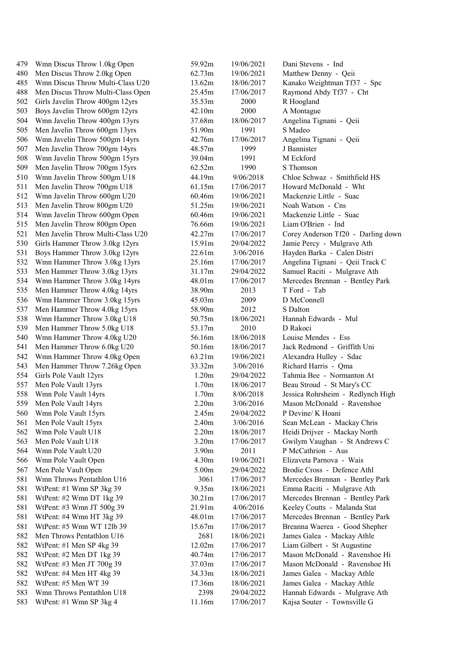| 479 | Wmn Discus Throw 1.0kg Open       | 59.92m            | 19/06/2021 | Dani Stevens - Ind                 |
|-----|-----------------------------------|-------------------|------------|------------------------------------|
| 480 | Men Discus Throw 2.0kg Open       | 62.73m            | 19/06/2021 | Matthew Denny - Qeii               |
| 485 | Wmn Discus Throw Multi-Class U20  | 13.62m            | 18/06/2017 | Kanako Weightman Tf37 - Spc        |
| 488 | Men Discus Throw Multi-Class Open | 25.45m            | 17/06/2017 | Raymond Abdy Tf37 - Cht            |
| 502 | Girls Javelin Throw 400gm 12yrs   | 35.53m            | 2000       | R Hoogland                         |
| 503 | Boys Javelin Throw 600gm 12yrs    | 42.10m            | 2000       | A Montague                         |
| 504 | Wmn Javelin Throw 400gm 13yrs     | 37.68m            | 18/06/2017 | Angelina Tignani - Qeii            |
| 505 | Men Javelin Throw 600gm 13yrs     | 51.90m            | 1991       | S Madeo                            |
| 506 | Wmn Javelin Throw 500gm 14yrs     | 42.76m            | 17/06/2017 | Angelina Tignani - Qeii            |
| 507 | Men Javelin Throw 700gm 14yrs     | 48.57m            | 1999       | J Bannister                        |
| 508 | Wmn Javelin Throw 500gm 15yrs     | 39.04m            | 1991       | M Eckford                          |
| 509 | Men Javelin Throw 700gm 15yrs     | 62.52m            | 1990       | S Thomson                          |
| 510 | Wmn Javelin Throw 500gm U18       | 44.19m            | 9/06/2018  | Chloe Schwaz - Smithfield HS       |
| 511 | Men Javelin Throw 700gm U18       | 61.15m            | 17/06/2017 | Howard McDonald - Wht              |
| 512 | Wmn Javelin Throw 600gm U20       | 60.46m            | 19/06/2021 | Mackenzie Little - Suac            |
| 513 | Men Javelin Throw 800gm U20       | 51.25m            | 19/06/2021 | Noah Watson - Cns                  |
| 514 | Wmn Javelin Throw 600gm Open      | 60.46m            | 19/06/2021 | Mackenzie Little - Suac            |
| 515 | Men Javelin Throw 800gm Open      | 76.66m            | 19/06/2021 | Liam O'Brien - Ind                 |
| 521 | Men Javelin Throw Multi-Class U20 | 42.27m            | 17/06/2017 | Corey Anderson Tf20 - Darling down |
| 530 | Girls Hammer Throw 3.0kg 12yrs    | 15.91m            | 29/04/2022 | Jamie Percy - Mulgrave Ath         |
| 531 | Boys Hammer Throw 3.0kg 12yrs     | 22.61m            | 3/06/2016  | Hayden Barka - Calen Distri        |
| 532 | Wmn Hammer Throw 3.0kg 13yrs      | 25.16m            | 17/06/2017 | Angelina Tignani - Qeii Track C    |
| 533 | Men Hammer Throw 3.0kg 13yrs      | 31.17m            | 29/04/2022 | Samuel Raciti - Mulgrave Ath       |
| 534 | Wmn Hammer Throw 3.0kg 14yrs      | 48.01m            | 17/06/2017 | Mercedes Brennan - Bentley Park    |
| 535 | Men Hammer Throw 4.0kg 14yrs      | 38.90m            | 2013       | T Ford - Tab                       |
| 536 | Wmn Hammer Throw 3.0kg 15yrs      | 45.03m            | 2009       | D McConnell                        |
| 537 | Men Hammer Throw 4.0kg 15yrs      | 58.90m            | 2012       | S Dalton                           |
| 538 | Wmn Hammer Throw 3.0kg U18        | 50.75m            | 18/06/2021 | Hannah Edwards - Mul               |
| 539 | Men Hammer Throw 5.0kg U18        | 53.17m            | 2010       | D Rakoci                           |
| 540 | Wmn Hammer Throw 4.0kg U20        | 56.16m            | 18/06/2018 | Louise Mendes - Ess                |
| 541 | Men Hammer Throw 6.0kg U20        | 50.16m            | 18/06/2017 | Jack Redmond - Griffith Uni        |
| 542 | Wmn Hammer Throw 4.0kg Open       | 63.21m            | 19/06/2021 | Alexandra Hulley - Sdac            |
| 543 | Men Hammer Throw 7.26kg Open      | 33.32m            | 3/06/2016  | Richard Harris - Qma               |
| 554 | Girls Pole Vault 12yrs            | 1.20 <sub>m</sub> | 29/04/2022 | Tahmia Bee - Normanton At          |
| 557 | Men Pole Vault 13yrs              | 1.70m             | 18/06/2017 | Beau Stroud - St Mary's CC         |
| 558 | Wmn Pole Vault 14yrs              | 1.70m             | 8/06/2018  | Jessica Rohrsheim - Redlynch High  |
| 559 | Men Pole Vault 14yrs              | 2.20m             | 3/06/2016  | Mason McDonald - Ravenshoe         |
| 560 | Wmn Pole Vault 15yrs              | 2.45m             | 29/04/2022 | P Devine/ K Hoani                  |
| 561 | Men Pole Vault 15yrs              | 2.40m             | 3/06/2016  | Sean McLean - Mackay Chris         |
| 562 | Wmn Pole Vault U18                | 2.20m             | 18/06/2017 | Heidi Drijver - Mackay North       |
| 563 | Men Pole Vault U18                | 3.20 <sub>m</sub> | 17/06/2017 | Gwilym Vaughan - St Andrews C      |
| 564 | Wmn Pole Vault U20                | 3.90m             | 2011       | P McCathrion - Aus                 |
| 566 | Wmn Pole Vault Open               | 4.30m             | 19/06/2021 | Elizaveta Parnova - Wais           |
| 567 | Men Pole Vault Open               | 5.00m             | 29/04/2022 | Brodie Cross - Defence Athl        |
| 581 | Wmn Throws Pentathlon U16         | 3061              | 17/06/2017 | Mercedes Brennan - Bentley Park    |
| 581 | WtPent: #1 Wmn SP 3kg 39          | 9.35m             | 18/06/2021 | Emma Raciti - Mulgrave Ath         |
| 581 | WtPent: #2 Wmn DT 1kg 39          | 30.21m            | 17/06/2017 | Mercedes Brennan - Bentley Park    |
| 581 | WtPent: #3 Wmn JT 500g 39         | 21.91m            | 4/06/2016  | Keeley Coutts - Malanda Stat       |
| 581 | WtPent: #4 Wmn HT 3kg 39          | 48.01m            | 17/06/2017 | Mercedes Brennan - Bentley Park    |
| 581 | WtPent: #5 Wmn WT 12lb 39         | 15.67m            | 17/06/2017 | Breanna Waerea - Good Shepher      |
| 582 | Men Throws Pentathlon U16         | 2681              | 18/06/2021 | James Galea - Mackay Athle         |
| 582 | WtPent: #1 Men SP 4kg 39          | 12.02m            | 17/06/2017 | Liam Gilbert - St Augustine        |
| 582 | WtPent: #2 Men DT 1kg 39          | 40.74m            | 17/06/2017 | Mason McDonald - Ravenshoe Hi      |
| 582 | WtPent: #3 Men JT 700g 39         | 37.03m            | 17/06/2017 | Mason McDonald - Ravenshoe Hi      |
| 582 | WtPent: #4 Men HT 4kg 39          | 34.33m            | 18/06/2021 | James Galea - Mackay Athle         |
| 582 | WtPent: #5 Men WT 39              | 17.36m            | 18/06/2021 | James Galea - Mackay Athle         |
| 583 | Wmn Throws Pentathlon U18         | 2398              | 29/04/2022 | Hannah Edwards - Mulgrave Ath      |
| 583 | WtPent: #1 Wmn SP 3kg 4           | 11.16m            | 17/06/2017 | Kajsa Souter - Townsville G        |
|     |                                   |                   |            |                                    |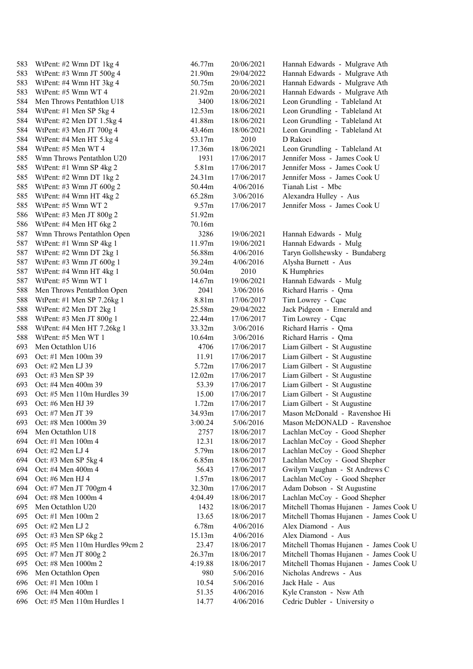| 583        | WtPent: #2 Wmn DT 1kg 4                       | 46.77m         | 20/06/2021               | Hannah Edwards - Mulgrave Ath                                |
|------------|-----------------------------------------------|----------------|--------------------------|--------------------------------------------------------------|
| 583        | WtPent: #3 Wmn JT 500g 4                      | 21.90m         | 29/04/2022               | Hannah Edwards - Mulgrave Ath                                |
| 583        | WtPent: #4 Wmn HT 3kg 4                       | 50.75m         | 20/06/2021               | Hannah Edwards - Mulgrave Ath                                |
| 583        | WtPent: #5 Wmn WT 4                           | 21.92m         | 20/06/2021               | Hannah Edwards - Mulgrave Ath                                |
| 584        | Men Throws Pentathlon U18                     | 3400           | 18/06/2021               | Leon Grundling - Tableland At                                |
| 584        | WtPent: #1 Men SP 5kg 4                       | 12.53m         | 18/06/2021               | Leon Grundling - Tableland At                                |
| 584        | WtPent: #2 Men DT 1.5kg 4                     | 41.88m         | 18/06/2021               | Leon Grundling - Tableland At                                |
| 584        | WtPent: #3 Men JT 700g 4                      | 43.46m         | 18/06/2021               | Leon Grundling - Tableland At                                |
| 584        | WtPent: #4 Men HT 5.kg 4                      | 53.17m         | 2010                     | D Rakoci                                                     |
| 584        | WtPent: #5 Men WT 4                           | 17.36m         | 18/06/2021               | Leon Grundling - Tableland At                                |
| 585        | Wmn Throws Pentathlon U20                     | 1931           | 17/06/2017               | Jennifer Moss - James Cook U                                 |
| 585        | WtPent: #1 Wmn SP 4kg 2                       | 5.81m          | 17/06/2017               | Jennifer Moss - James Cook U                                 |
| 585        | WtPent: #2 Wmn DT 1kg 2                       | 24.31m         | 17/06/2017               | Jennifer Moss - James Cook U                                 |
| 585        | WtPent: #3 Wmn JT $600g$ 2                    | 50.44m         | 4/06/2016                | Tianah List - Mbc                                            |
| 585        | WtPent: #4 Wmn HT 4kg 2                       | 65.28m         | 3/06/2016                | Alexandra Hulley - Aus                                       |
| 585        | WtPent: #5 Wmn WT 2                           | 9.57m          | 17/06/2017               | Jennifer Moss - James Cook U                                 |
| 586        | WtPent: #3 Men JT $800g$ 2                    | 51.92m         |                          |                                                              |
| 586        | WtPent: #4 Men HT 6kg 2                       | 70.16m         |                          |                                                              |
| 587        | Wmn Throws Pentathlon Open                    | 3286           | 19/06/2021               | Hannah Edwards - Mulg                                        |
| 587        | WtPent: #1 Wmn SP 4kg 1                       | 11.97m         | 19/06/2021               | Hannah Edwards - Mulg                                        |
| 587        | WtPent: #2 Wmn DT 2kg 1                       | 56.88m         | 4/06/2016                | Taryn Gollshewsky - Bundaberg                                |
| 587        | WtPent: #3 Wmn JT 600g 1                      | 39.24m         | 4/06/2016                | Alysha Burnett - Aus                                         |
| 587        | WtPent: #4 Wmn HT 4kg 1                       | 50.04m         | 2010                     | K Humphries                                                  |
| 587        | WtPent: #5 Wmn WT 1                           | 14.67m         | 19/06/2021               | Hannah Edwards - Mulg                                        |
| 588        | Men Throws Pentathlon Open                    | 2041           | 3/06/2016                | Richard Harris - Qma                                         |
| 588        | WtPent: #1 Men SP $7.26$ kg 1                 | 8.81m          | 17/06/2017               | Tim Lowrey - Cqac                                            |
| 588        | WtPent: #2 Men DT 2kg 1                       | 25.58m         | 29/04/2022               | Jack Pidgeon - Emerald and                                   |
| 588        | WtPent: #3 Men JT 800g 1                      | 22.44m         | 17/06/2017               | Tim Lowrey - Cqac                                            |
| 588        | WtPent: #4 Men HT 7.26kg 1                    | 33.32m         | 3/06/2016                | Richard Harris - Qma                                         |
| 588        | WtPent: #5 Men WT 1                           | 10.64m         | 3/06/2016                | Richard Harris - Qma                                         |
| 693        | Men Octathlon U16                             | 4706           | 17/06/2017               | Liam Gilbert - St Augustine                                  |
| 693        | Oct: #1 Men 100m 39                           | 11.91          | 17/06/2017               | Liam Gilbert - St Augustine                                  |
| 693        | Oct: #2 Men LJ 39                             | 5.72m          | 17/06/2017               | Liam Gilbert - St Augustine                                  |
| 693        | Oct: #3 Men SP 39                             | 12.02m         | 17/06/2017               | Liam Gilbert - St Augustine                                  |
| 693        | Oct: #4 Men 400m 39                           | 53.39          | 17/06/2017               | Liam Gilbert - St Augustine                                  |
| 693        | Oct: #5 Men 110m Hurdles 39                   | 15.00          | 17/06/2017               | Liam Gilbert - St Augustine                                  |
| 693        | Oct: #6 Men HJ 39                             | 1.72m          | 17/06/2017               | Liam Gilbert - St Augustine                                  |
| 693        | Oct: #7 Men JT 39                             | 34.93m         | 17/06/2017               | Mason McDonald - Ravenshoe Hi                                |
| 693        | Oct: #8 Men 1000m 39                          | 3:00.24        | 5/06/2016                | Mason McDONALD - Ravenshoe                                   |
| 694        | Men Octathlon U18                             | 2757           | 18/06/2017               | Lachlan McCoy - Good Shepher                                 |
| 694        | Oct: #1 Men 100m 4                            | 12.31          |                          | Lachlan McCoy - Good Shepher                                 |
| 694        | Oct: #2 Men LJ 4                              | 5.79m          | 18/06/2017               | Lachlan McCoy - Good Shepher                                 |
| 694        |                                               | 6.85m          | 18/06/2017               | Lachlan McCoy - Good Shepher                                 |
| 694        | Oct: #3 Men SP 5kg 4<br>Oct: #4 Men 400m 4    | 56.43          | 18/06/2017<br>17/06/2017 | Gwilym Vaughan - St Andrews C                                |
| 694        | Oct: #6 Men HJ 4                              | 1.57m          | 18/06/2017               | Lachlan McCoy - Good Shepher                                 |
| 694        |                                               | 32.30m         |                          |                                                              |
| 694        | Oct: #7 Men JT 700gm 4<br>Oct: #8 Men 1000m 4 | 4:04.49        | 17/06/2017               | Adam Dobson - St Augustine                                   |
| 695        | Men Octathlon U20                             | 1432           | 18/06/2017               | Lachlan McCoy - Good Shepher                                 |
|            |                                               |                | 18/06/2017               | Mitchell Thomas Hujanen - James Cook U                       |
| 695<br>695 | Oct: #1 Men 100m 2<br>Oct: #2 Men LJ 2        | 13.65<br>6.78m | 18/06/2017<br>4/06/2016  | Mitchell Thomas Hujanen - James Cook U<br>Alex Diamond - Aus |
|            |                                               |                |                          | Alex Diamond - Aus                                           |
| 695        | Oct: #3 Men SP 6kg 2                          | 15.13m         | 4/06/2016                |                                                              |
| 695        | Oct: #5 Men 110m Hurdles 99cm 2               | 23.47          | 18/06/2017               | Mitchell Thomas Hujanen - James Cook U                       |
| 695        | Oct: #7 Men JT 800g 2                         | 26.37m         | 18/06/2017               | Mitchell Thomas Hujanen - James Cook U                       |
| 695        | Oct: #8 Men 1000m 2                           | 4:19.88        | 18/06/2017               | Mitchell Thomas Hujanen - James Cook U                       |
| 696        | Men Octathlon Open                            | 980            | 5/06/2016                | Nicholas Andrews - Aus                                       |
| 696        | Oct: #1 Men 100m 1                            | 10.54          | 5/06/2016                | Jack Hale - Aus                                              |
| 696        | Oct: #4 Men 400m 1                            | 51.35          | 4/06/2016                | Kyle Cranston - Nsw Ath                                      |
| 696        | Oct: #5 Men 110m Hurdles 1                    | 14.77          | 4/06/2016                | Cedric Dubler - University o                                 |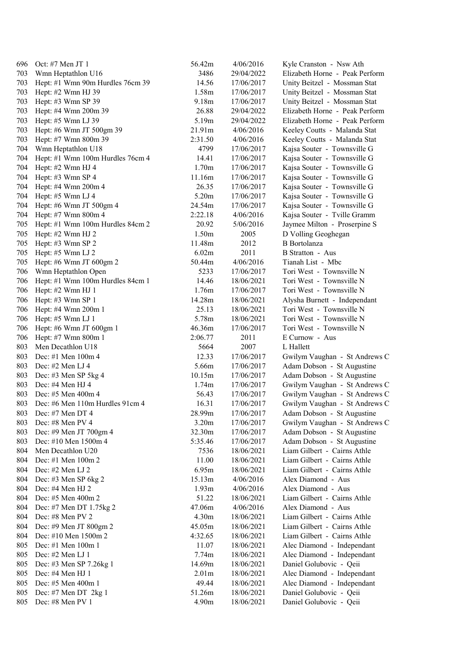| 696        | Oct: #7 Men JT $1$                             | 56.42m            | 4/06/2016  | Kyle Cranston - Nsw Ath                                     |
|------------|------------------------------------------------|-------------------|------------|-------------------------------------------------------------|
| 703        | Wmn Heptathlon U16                             | 3486              | 29/04/2022 | Elizabeth Horne - Peak Perform                              |
| 703        | Hept: #1 Wmn 90m Hurdles 76cm 39               | 14.56             | 17/06/2017 | Unity Beitzel - Mossman Stat                                |
| 703        | Hept: #2 Wmn HJ 39                             | 1.58m             | 17/06/2017 | Unity Beitzel - Mossman Stat                                |
| 703        | Hept: #3 Wmn SP 39                             | 9.18m             | 17/06/2017 | Unity Beitzel - Mossman Stat                                |
| 703        | Hept: #4 Wmn 200m 39                           | 26.88             | 29/04/2022 | Elizabeth Horne - Peak Perform                              |
| 703        | Hept: #5 Wmn LJ 39                             | 5.19m             | 29/04/2022 | Elizabeth Horne - Peak Perform                              |
| 703        | Hept: #6 Wmn JT 500gm 39                       | 21.91m            | 4/06/2016  | Keeley Coutts - Malanda Stat                                |
| 703        | Hept: #7 Wmn 800m 39                           | 2:31.50           | 4/06/2016  | Keeley Coutts - Malanda Stat                                |
| 704        | Wmn Heptathlon U18                             | 4799              | 17/06/2017 | Kajsa Souter - Townsville G                                 |
| 704        | Hept: #1 Wmn 100m Hurdles 76cm 4               | 14.41             | 17/06/2017 | Kajsa Souter - Townsville G                                 |
| 704        | Hept: #2 Wmn HJ 4                              | 1.70m             | 17/06/2017 | Kajsa Souter - Townsville G                                 |
| 704        | Hept: #3 Wmn SP 4                              | 11.16m            | 17/06/2017 | Kajsa Souter - Townsville G                                 |
| 704        | Hept: #4 Wmn 200m 4                            | 26.35             | 17/06/2017 | Kajsa Souter - Townsville G                                 |
| 704        | Hept: #5 Wmn LJ 4                              | 5.20m             | 17/06/2017 | Kajsa Souter - Townsville G                                 |
| 704        | Hept: #6 Wmn JT 500gm 4                        | 24.54m            | 17/06/2017 | Kajsa Souter - Townsville G                                 |
| 704        | Hept: #7 Wmn 800m 4                            | 2:22.18           | 4/06/2016  | Kajsa Souter - Tville Gramm                                 |
| 705        | Hept: #1 Wmn 100m Hurdles 84cm 2               | 20.92             | 5/06/2016  | Jaymee Milton - Proserpine S                                |
| 705        | Hept: #2 Wmn HJ 2                              | 1.50m             | 2005       | D Volling Geoghegan                                         |
| 705        | Hept: #3 Wmn SP 2                              | 11.48m            | 2012       | <b>B</b> Bortolanza                                         |
| 705        | Hept: $#5$ Wmn LJ 2                            | 6.02m             | 2011       | <b>B</b> Stratton - Aus                                     |
| 705        | Hept: #6 Wmn JT $600gm$ 2                      | 50.44m            | 4/06/2016  | Tianah List - Mbc                                           |
| 706        | Wmn Heptathlon Open                            | 5233              | 17/06/2017 | Tori West - Townsville N                                    |
| 706        | Hept: #1 Wmn 100m Hurdles 84cm 1               | 14.46             | 18/06/2021 | Tori West - Townsville N                                    |
| 706        | Hept: #2 Wmn HJ 1                              | 1.76m             | 17/06/2017 | Tori West - Townsville N                                    |
| 706        | Hept: #3 Wmn SP 1                              | 14.28m            | 18/06/2021 | Alysha Burnett - Independant                                |
| 706        | Hept: #4 Wmn 200m 1                            | 25.13             | 18/06/2021 | Tori West - Townsville N                                    |
| 706        | Hept: #5 Wmn LJ 1                              | 5.78m             | 18/06/2021 | Tori West - Townsville N                                    |
| 706        |                                                | 46.36m            | 17/06/2017 | Tori West - Townsville N                                    |
| 706        | Hept: #6 Wmn JT 600gm 1<br>Hept: #7 Wmn 800m 1 | 2:06.77           | 2011       | E Curnow - Aus                                              |
| 803        | Men Decathlon U18                              | 5664              | 2007       | L Hallett                                                   |
| 803        | Dec: #1 Men $100m 4$                           | 12.33             | 17/06/2017 |                                                             |
| 803        | Dec: #2 Men LJ 4                               | 5.66m             | 17/06/2017 | Gwilym Vaughan - St Andrews C<br>Adam Dobson - St Augustine |
| 803        | Dec: #3 Men SP 5kg 4                           | 10.15m            | 17/06/2017 | Adam Dobson - St Augustine                                  |
| 803        | Dec: #4 Men HJ 4                               | 1.74m             |            |                                                             |
|            | Dec: #5 Men 400m 4                             |                   | 17/06/2017 | Gwilym Vaughan - St Andrews C                               |
| 803<br>803 | Dec: #6 Men 110m Hurdles 91cm 4                | 56.43<br>16.31    | 17/06/2017 | Gwilym Vaughan - St Andrews C                               |
|            |                                                |                   | 17/06/2017 | Gwilym Vaughan - St Andrews C                               |
| 803<br>803 | Dec: #7 Men DT 4<br>Dec: #8 Men PV 4           | 28.99m<br>3.20m   | 17/06/2017 | Adam Dobson - St Augustine                                  |
|            |                                                | 32.30m            | 17/06/2017 | Gwilym Vaughan - St Andrews C                               |
| 803        | Dec: #9 Men JT 700gm 4                         | 5:35.46           | 17/06/2017 | Adam Dobson - St Augustine                                  |
| 803        | Dec: #10 Men 1500m 4                           |                   | 17/06/2017 | Adam Dobson - St Augustine                                  |
| 804        | Men Decathlon U20                              | 7536              | 18/06/2021 | Liam Gilbert - Cairns Athle                                 |
| 804        | Dec: #1 Men $100m 2$                           | 11.00             | 18/06/2021 | Liam Gilbert - Cairns Athle                                 |
| 804        | Dec: #2 Men LJ 2                               | 6.95m             | 18/06/2021 | Liam Gilbert - Cairns Athle                                 |
| 804        | Dec: #3 Men SP 6kg 2                           | 15.13m            | 4/06/2016  | Alex Diamond - Aus                                          |
| 804        | Dec: #4 Men HJ 2                               | 1.93m             | 4/06/2016  | Alex Diamond - Aus                                          |
| 804        | Dec: #5 Men 400m 2                             | 51.22             | 18/06/2021 | Liam Gilbert - Cairns Athle                                 |
| 804        | Dec: #7 Men DT 1.75kg 2                        | 47.06m            | 4/06/2016  | Alex Diamond - Aus                                          |
| 804        | Dec: #8 Men PV 2                               | 4.30m             | 18/06/2021 | Liam Gilbert - Cairns Athle                                 |
| 804        | Dec: #9 Men JT 800gm 2                         | 45.05m            | 18/06/2021 | Liam Gilbert - Cairns Athle                                 |
| 804        | Dec: #10 Men 1500m 2                           | 4:32.65           | 18/06/2021 | Liam Gilbert - Cairns Athle                                 |
| 805        | Dec: #1 Men 100m 1                             | 11.07             | 18/06/2021 | Alec Diamond - Independant                                  |
| 805        | Dec: #2 Men LJ 1                               | 7.74m             | 18/06/2021 | Alec Diamond - Independant                                  |
| 805        | Dec: #3 Men SP 7.26kg 1                        | 14.69m            | 18/06/2021 | Daniel Golubovic - Qeii                                     |
| 805        | Dec: #4 Men HJ 1                               | 2.01 <sub>m</sub> | 18/06/2021 | Alec Diamond - Independant                                  |
| 805        | Dec: #5 Men 400m 1                             | 49.44             | 18/06/2021 | Alec Diamond - Independant                                  |
| 805        | Dec: #7 Men DT 2kg 1                           | 51.26m            | 18/06/2021 | Daniel Golubovic - Qeii                                     |
| 805        | Dec: #8 Men PV 1                               | 4.90m             | 18/06/2021 | Daniel Golubovic - Qeii                                     |